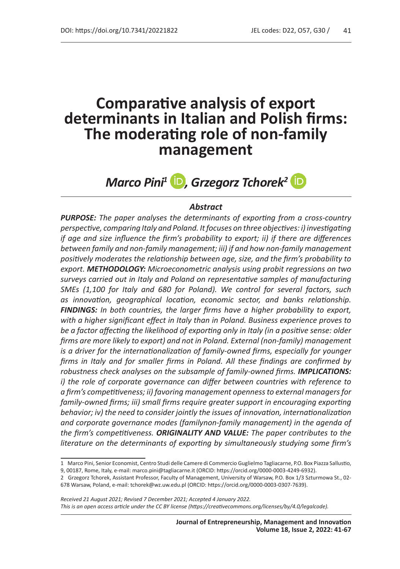# **Comparative analysis of export determinants in Italian and Polish firms: The moderating role of non-family management**

# *Marco Pini<sup>1</sup>* **D**, Grzegorz Tchorek<sup>2</sup> **D**

#### *Abstract*

*PURPOSE: The paper analyses the determinants of exporting from a cross-country perspective, comparing Italy and Poland. It focuses on three objectives: i) investigating if age and size influence the firm's probability to export; ii) if there are differences between family and non-family management; iii) if and how non-family management positively moderates the relationship between age, size, and the firm's probability to export. METHODOLOGY: Microeconometric analysis using probit regressions on two surveys carried out in Italy and Poland on representative samples of manufacturing SMEs (1,100 for Italy and 680 for Poland). We control for several factors, such as innovation, geographical location, economic sector, and banks relationship. FINDINGS: In both countries, the larger firms have a higher probability to export, with a higher significant effect in Italy than in Poland. Business experience proves to be a factor affecting the likelihood of exporting only in Italy (in a positive sense: older firms are more likely to export) and not in Poland. External (non-family) management is a driver for the internationalization of family-owned firms, especially for younger firms in Italy and for smaller firms in Poland. All these findings are confirmed by robustness check analyses on the subsample of family-owned firms. IMPLICATIONS: i) the role of corporate governance can differ between countries with reference to a firm's competitiveness; ii) favoring management openness to external managers for family-owned firms; iii) small firms require greater support in encouraging exporting behavior; iv) the need to consider jointly the issues of innovation, internationalization and corporate governance modes (familynon-family management) in the agenda of the firm's competitiveness. ORIGINALITY AND VALUE: The paper contributes to the literature on the determinants of exporting by simultaneously studying some firm's* 

*Received 21 August 2021; Revised 7 December 2021; Accepted 4 January 2022. This is an open access article under the CC BY license (https://creativecommons.org/licenses/by/4.0/legalcode).*

<sup>1</sup> Marco Pini, Senior Economist, Centro Studi delle Camere di Commercio Guglielmo Tagliacarne, P.O. Box Piazza Sallustio,

<sup>9, 00187,</sup> Rome, Italy, e-mail: marco.pini@tagliacarne.it (ORCID: https://orcid.org/0000-0003-4249-6932).

<sup>2</sup> Grzegorz Tchorek, Assistant Professor, Faculty of Management, University of Warsaw, P.O. Box 1/3 Szturmowa St., 02- 678 Warsaw, Poland, e-mail: tchorek@wz.uw.edu.pl (ORCID: https://orcid.org/0000-0003-0307-7639).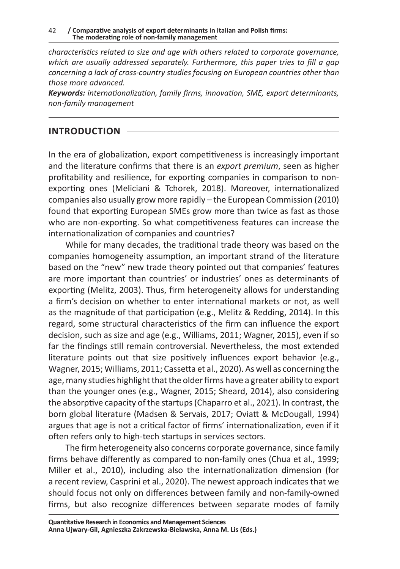*characteristics related to size and age with others related to corporate governance, which are usually addressed separately. Furthermore, this paper tries to fill a gap concerning a lack of cross-country studies focusing on European countries other than those more advanced.*

*Keywords: internationalization, family firms, innovation, SME, export determinants, non-family management*

### **INTRODUCTION**

In the era of globalization, export competitiveness is increasingly important and the literature confirms that there is an *export premium*, seen as higher profitability and resilience, for exporting companies in comparison to nonexporting ones (Meliciani & Tchorek, 2018). Moreover, internationalized companies also usually grow more rapidly – the European Commission (2010) found that exporting European SMEs grow more than twice as fast as those who are non-exporting. So what competitiveness features can increase the internationalization of companies and countries?

While for many decades, the traditional trade theory was based on the companies homogeneity assumption, an important strand of the literature based on the "new" new trade theory pointed out that companies' features are more important than countries' or industries' ones as determinants of exporting (Melitz, 2003). Thus, firm heterogeneity allows for understanding a firm's decision on whether to enter international markets or not, as well as the magnitude of that participation (e.g., Melitz & Redding, 2014). In this regard, some structural characteristics of the firm can influence the export decision, such as size and age (e.g., Williams, 2011; Wagner, 2015), even if so far the findings still remain controversial. Nevertheless, the most extended literature points out that size positively influences export behavior (e.g., Wagner, 2015; Williams, 2011; Cassetta et al., 2020). As well as concerning the age, many studies highlight that the older firms have a greater ability to export than the younger ones (e.g., Wagner, 2015; Sheard, 2014), also considering the absorptive capacity of the startups (Chaparro et al., 2021). In contrast, the born global literature (Madsen & Servais, 2017; Oviatt & McDougall, 1994) argues that age is not a critical factor of firms' internationalization, even if it often refers only to high-tech startups in services sectors.

The firm heterogeneity also concerns corporate governance, since family firms behave differently as compared to non-family ones (Chua et al., 1999; Miller et al., 2010), including also the internationalization dimension (for a recent review, Casprini et al., 2020). The newest approach indicates that we should focus not only on differences between family and non-family-owned firms, but also recognize differences between separate modes of family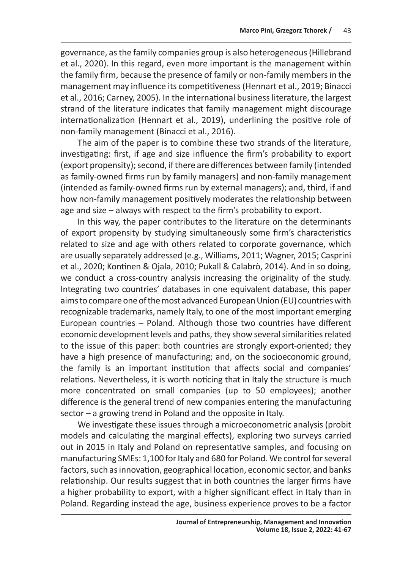governance, as the family companies group is also heterogeneous (Hillebrand et al., 2020). In this regard, even more important is the management within the family firm, because the presence of family or non-family members in the management may influence its competitiveness (Hennart et al., 2019; Binacci et al., 2016; Carney, 2005). In the international business literature, the largest strand of the literature indicates that family management might discourage internationalization (Hennart et al., 2019), underlining the positive role of non-family management (Binacci et al., 2016).

The aim of the paper is to combine these two strands of the literature, investigating: first, if age and size influence the firm's probability to export (export propensity); second, if there are differences between family (intended as family-owned firms run by family managers) and non-family management (intended as family-owned firms run by external managers); and, third, if and how non-family management positively moderates the relationship between age and size – always with respect to the firm's probability to export.

In this way, the paper contributes to the literature on the determinants of export propensity by studying simultaneously some firm's characteristics related to size and age with others related to corporate governance, which are usually separately addressed (e.g., Williams, 2011; Wagner, 2015; Casprini et al., 2020; Kontinen & Ojala, 2010; Pukall & Calabrò, 2014). And in so doing, we conduct a cross-country analysis increasing the originality of the study. Integrating two countries' databases in one equivalent database, this paper aims to compare one of the most advanced European Union (EU) countries with recognizable trademarks, namely Italy, to one of the most important emerging European countries – Poland. Although those two countries have different economic development levels and paths, they show several similarities related to the issue of this paper: both countries are strongly export-oriented; they have a high presence of manufacturing; and, on the socioeconomic ground, the family is an important institution that affects social and companies' relations. Nevertheless, it is worth noticing that in Italy the structure is much more concentrated on small companies (up to 50 employees); another difference is the general trend of new companies entering the manufacturing sector – a growing trend in Poland and the opposite in Italy.

We investigate these issues through a microeconometric analysis (probit models and calculating the marginal effects), exploring two surveys carried out in 2015 in Italy and Poland on representative samples, and focusing on manufacturing SMEs: 1,100 for Italy and 680 for Poland. We control for several factors, such as innovation, geographical location, economic sector, and banks relationship. Our results suggest that in both countries the larger firms have a higher probability to export, with a higher significant effect in Italy than in Poland. Regarding instead the age, business experience proves to be a factor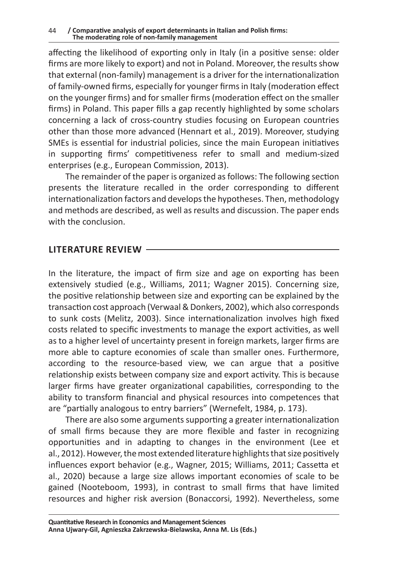affecting the likelihood of exporting only in Italy (in a positive sense: older firms are more likely to export) and not in Poland. Moreover, the results show that external (non-family) management is a driver for the internationalization of family-owned firms, especially for younger firms in Italy (moderation effect on the younger firms) and for smaller firms (moderation effect on the smaller firms) in Poland. This paper fills a gap recently highlighted by some scholars concerning a lack of cross-country studies focusing on European countries other than those more advanced (Hennart et al., 2019). Moreover, studying SMEs is essential for industrial policies, since the main European initiatives in supporting firms' competitiveness refer to small and medium-sized enterprises (e.g., European Commission, 2013).

The remainder of the paper is organized as follows: The following section presents the literature recalled in the order corresponding to different internationalization factors and develops the hypotheses. Then, methodology and methods are described, as well as results and discussion. The paper ends with the conclusion.

### **LITERATURE REVIEW**

In the literature, the impact of firm size and age on exporting has been extensively studied (e.g., Williams, 2011; Wagner 2015). Concerning size, the positive relationship between size and exporting can be explained by the transaction cost approach (Verwaal & Donkers, 2002), which also corresponds to sunk costs (Melitz, 2003). Since internationalization involves high fixed costs related to specific investments to manage the export activities, as well as to a higher level of uncertainty present in foreign markets, larger firms are more able to capture economies of scale than smaller ones. Furthermore, according to the resource-based view, we can argue that a positive relationship exists between company size and export activity. This is because larger firms have greater organizational capabilities, corresponding to the ability to transform financial and physical resources into competences that are "partially analogous to entry barriers" (Wernefelt, 1984, p. 173).

There are also some arguments supporting a greater internationalization of small firms because they are more flexible and faster in recognizing opportunities and in adapting to changes in the environment (Lee et al., 2012). However, the most extended literature highlights that size positively influences export behavior (e.g., Wagner, 2015; Williams, 2011; Cassetta et al., 2020) because a large size allows important economies of scale to be gained (Nooteboom, 1993), in contrast to small firms that have limited resources and higher risk aversion (Bonaccorsi, 1992). Nevertheless, some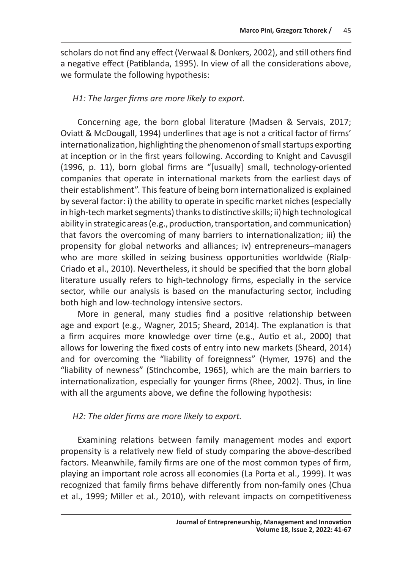scholars do not find any effect (Verwaal & Donkers, 2002), and still others find a negative effect (Patiblanda, 1995). In view of all the considerations above, we formulate the following hypothesis:

## *H1: The larger firms are more likely to export.*

Concerning age, the born global literature (Madsen & Servais, 2017; Oviatt & McDougall, 1994) underlines that age is not a critical factor of firms' internationalization, highlighting the phenomenon of small startups exporting at inception or in the first years following. According to Knight and Cavusgil (1996, p. 11), born global firms are "[usually] small, technology-oriented companies that operate in international markets from the earliest days of their establishment". This feature of being born internationalized is explained by several factor: i) the ability to operate in specific market niches (especially in high-tech market segments) thanks to distinctive skills; ii) high technological ability in strategic areas (e.g., production, transportation, and communication) that favors the overcoming of many barriers to internationalization; iii) the propensity for global networks and alliances; iv) entrepreneurs–managers who are more skilled in seizing business opportunities worldwide (Rialp-Criado et al., 2010). Nevertheless, it should be specified that the born global literature usually refers to high-technology firms, especially in the service sector, while our analysis is based on the manufacturing sector, including both high and low-technology intensive sectors.

More in general, many studies find a positive relationship between age and export (e.g., Wagner, 2015; Sheard, 2014). The explanation is that a firm acquires more knowledge over time (e.g., Autio et al., 2000) that allows for lowering the fixed costs of entry into new markets (Sheard, 2014) and for overcoming the "liability of foreignness" (Hymer, 1976) and the "liability of newness" (Stinchcombe, 1965), which are the main barriers to internationalization, especially for younger firms (Rhee, 2002). Thus, in line with all the arguments above, we define the following hypothesis:

### *H2: The older firms are more likely to export.*

Examining relations between family management modes and export propensity is a relatively new field of study comparing the above-described factors. Meanwhile, family firms are one of the most common types of firm, playing an important role across all economies (La Porta et al., 1999). It was recognized that family firms behave differently from non-family ones (Chua et al., 1999; Miller et al., 2010), with relevant impacts on competitiveness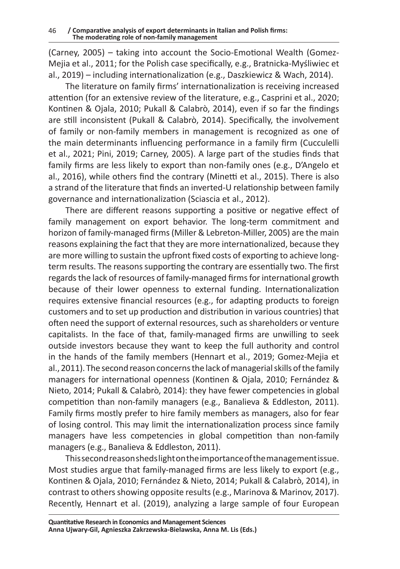(Carney, 2005) – taking into account the Socio-Emotional Wealth (Gomez-Mejia et al., 2011; for the Polish case specifically, e.g., Bratnicka-Myśliwiec et al., 2019) – including internationalization (e.g., Daszkiewicz & Wach, 2014).

The literature on family firms' internationalization is receiving increased attention (for an extensive review of the literature, e.g., Casprini et al., 2020; Kontinen & Ojala, 2010; Pukall & Calabrò, 2014), even if so far the findings are still inconsistent (Pukall & Calabrò, 2014). Specifically, the involvement of family or non-family members in management is recognized as one of the main determinants influencing performance in a family firm (Cucculelli et al., 2021; Pini, 2019; Carney, 2005). A large part of the studies finds that family firms are less likely to export than non-family ones (e.g., D'Angelo et al., 2016), while others find the contrary (Minetti et al., 2015). There is also a strand of the literature that finds an inverted-U relationship between family governance and internationalization (Sciascia et al., 2012).

There are different reasons supporting a positive or negative effect of family management on export behavior. The long-term commitment and horizon of family-managed firms (Miller & Lebreton-Miller, 2005) are the main reasons explaining the fact that they are more internationalized, because they are more willing to sustain the upfront fixed costs of exporting to achieve longterm results. The reasons supporting the contrary are essentially two. The first regards the lack of resources of family-managed firms for international growth because of their lower openness to external funding. Internationalization requires extensive financial resources (e.g., for adapting products to foreign customers and to set up production and distribution in various countries) that often need the support of external resources, such as shareholders or venture capitalists. In the face of that, family-managed firms are unwilling to seek outside investors because they want to keep the full authority and control in the hands of the family members (Hennart et al., 2019; Gomez-Mejia et al., 2011). The second reason concerns the lack of managerial skills of the family managers for international openness (Kontinen & Ojala, 2010; Fernández & Nieto, 2014; Pukall & Calabrò, 2014): they have fewer competencies in global competition than non-family managers (e.g., Banalieva & Eddleston, 2011). Family firms mostly prefer to hire family members as managers, also for fear of losing control. This may limit the internationalization process since family managers have less competencies in global competition than non-family managers (e.g., Banalieva & Eddleston, 2011).

This second reason sheds light on the importance of the management issue. Most studies argue that family-managed firms are less likely to export (e.g., Kontinen & Ojala, 2010; Fernández & Nieto, 2014; Pukall & Calabrò, 2014), in contrast to others showing opposite results (e.g., Marinova & Marinov, 2017). Recently, Hennart et al. (2019), analyzing a large sample of four European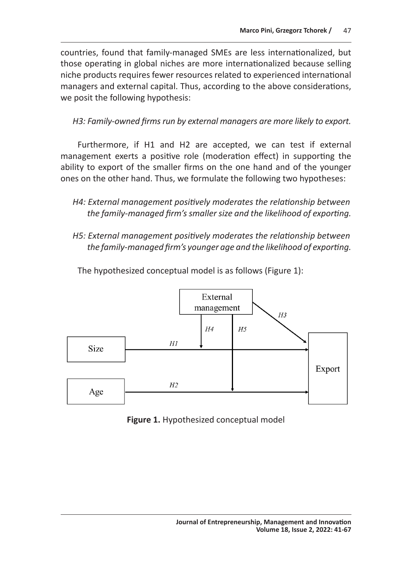countries, found that family-managed SMEs are less internationalized, but those operating in global niches are more internationalized because selling niche products requires fewer resources related to experienced international managers and external capital. Thus, according to the above considerations, we posit the following hypothesis:

*H3: Family-owned firms run by external managers are more likely to export.*

Furthermore, if H1 and H2 are accepted, we can test if external management exerts a positive role (moderation effect) in supporting the ability to export of the smaller firms on the one hand and of the younger ones on the other hand. Thus, we formulate the following two hypotheses:

- *H4: External management positively moderates the relationship between the family-managed firm's smaller size and the likelihood of exporting.*
- *H5: External management positively moderates the relationship between the family-managed firm's younger age and the likelihood of exporting.*



The hypothesized conceptual model is as follows (Figure 1):

**Figure 1.** Hypothesized conceptual model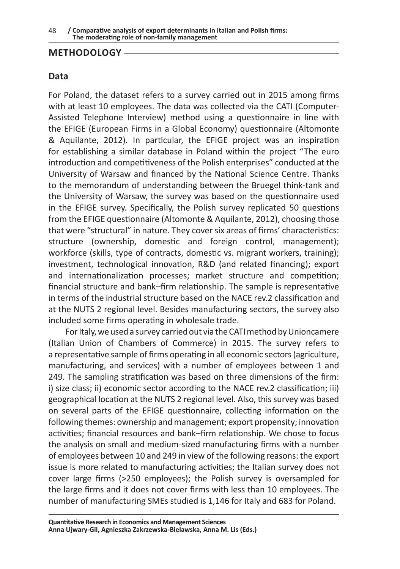### **METHODOLOGY**

# **Data**

For Poland, the dataset refers to a survey carried out in 2015 among firms with at least 10 employees. The data was collected via the CATI (Computer-Assisted Telephone Interview) method using a questionnaire in line with the EFIGE (European Firms in a Global Economy) questionnaire (Altomonte & Aquilante, 2012). In particular, the EFIGE project was an inspiration for establishing a similar database in Poland within the project "The euro introduction and competitiveness of the Polish enterprises" conducted at the University of Warsaw and financed by the National Science Centre. Thanks to the memorandum of understanding between the Bruegel think-tank and the University of Warsaw, the survey was based on the questionnaire used in the EFIGE survey. Specifically, the Polish survey replicated 50 questions from the EFIGE questionnaire (Altomonte & Aquilante, 2012), choosing those that were "structural" in nature. They cover six areas of firms' characteristics: structure (ownership, domestic and foreign control, management); workforce (skills, type of contracts, domestic vs. migrant workers, training); investment, technological innovation, R&D (and related financing); export and internationalization processes; market structure and competition; financial structure and bank–firm relationship. The sample is representative in terms of the industrial structure based on the NACE rev.2 classification and at the NUTS 2 regional level. Besides manufacturing sectors, the survey also included some firms operating in wholesale trade.

For Italy, we used a survey carried out via the CATI method by Unioncamere (Italian Union of Chambers of Commerce) in 2015. The survey refers to a representative sample of firms operating in all economic sectors (agriculture, manufacturing, and services) with a number of employees between 1 and 249. The sampling stratification was based on three dimensions of the firm: i) size class; ii) economic sector according to the NACE rev.2 classification; iii) geographical location at the NUTS 2 regional level. Also, this survey was based on several parts of the EFIGE questionnaire, collecting information on the following themes: ownership and management; export propensity; innovation activities; financial resources and bank–firm relationship. We chose to focus the analysis on small and medium-sized manufacturing firms with a number of employees between 10 and 249 in view of the following reasons: the export issue is more related to manufacturing activities; the Italian survey does not cover large firms (>250 employees); the Polish survey is oversampled for the large firms and it does not cover firms with less than 10 employees. The number of manufacturing SMEs studied is 1,146 for Italy and 683 for Poland.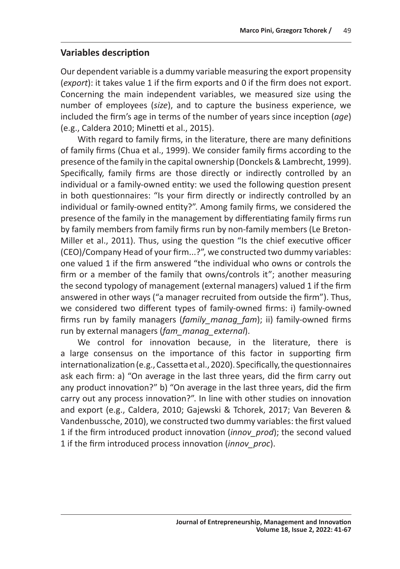# **Variables description**

Our dependent variable is a dummy variable measuring the export propensity (*export*): it takes value 1 if the firm exports and 0 if the firm does not export. Concerning the main independent variables, we measured size using the number of employees (*size*), and to capture the business experience, we included the firm's age in terms of the number of years since inception (*age*) (e.g., Caldera 2010; Minetti et al., 2015).

With regard to family firms, in the literature, there are many definitions of family firms (Chua et al., 1999). We consider family firms according to the presence of the family in the capital ownership (Donckels & Lambrecht, 1999). Specifically, family firms are those directly or indirectly controlled by an individual or a family-owned entity: we used the following question present in both questionnaires: "Is your firm directly or indirectly controlled by an individual or family-owned entity?". Among family firms, we considered the presence of the family in the management by differentiating family firms run by family members from family firms run by non-family members (Le Breton-Miller et al., 2011). Thus, using the question "Is the chief executive officer (CEO)/Company Head of your firm...?", we constructed two dummy variables: one valued 1 if the firm answered "the individual who owns or controls the firm or a member of the family that owns/controls it"; another measuring the second typology of management (external managers) valued 1 if the firm answered in other ways ("a manager recruited from outside the firm"). Thus, we considered two different types of family-owned firms: i) family-owned firms run by family managers (*family\_manag\_fam*); ii) family-owned firms run by external managers (*fam\_manag\_external*).

We control for innovation because, in the literature, there is a large consensus on the importance of this factor in supporting firm internationalization (e.g., Cassetta et al., 2020). Specifically, the questionnaires ask each firm: a) "On average in the last three years, did the firm carry out any product innovation?" b) "On average in the last three years, did the firm carry out any process innovation?". In line with other studies on innovation and export (e.g., Caldera, 2010; Gajewski & Tchorek, 2017; Van Beveren & Vandenbussche, 2010), we constructed two dummy variables: the first valued 1 if the firm introduced product innovation (*innov\_prod*); the second valued 1 if the firm introduced process innovation (*innov\_proc*).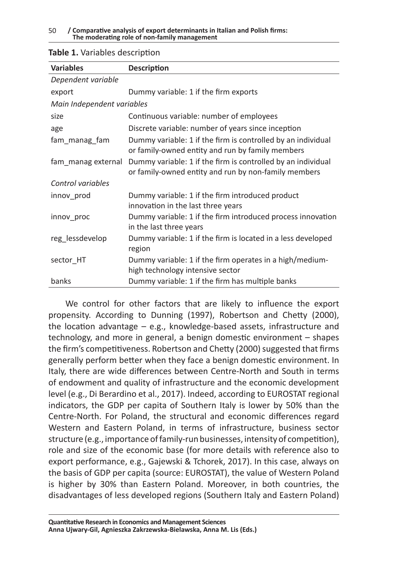| <b>Variables</b>           | <b>Description</b>                                                                                                   |
|----------------------------|----------------------------------------------------------------------------------------------------------------------|
| Dependent variable         |                                                                                                                      |
| export                     | Dummy variable: 1 if the firm exports                                                                                |
| Main Independent variables |                                                                                                                      |
| size                       | Continuous variable: number of employees                                                                             |
| age                        | Discrete variable: number of years since inception                                                                   |
| fam_manag_fam              | Dummy variable: 1 if the firm is controlled by an individual<br>or family-owned entity and run by family members     |
| fam manag external         | Dummy variable: 1 if the firm is controlled by an individual<br>or family-owned entity and run by non-family members |
| Control variables          |                                                                                                                      |
| innov_prod                 | Dummy variable: 1 if the firm introduced product<br>innovation in the last three years                               |
| innov proc                 | Dummy variable: 1 if the firm introduced process innovation<br>in the last three years                               |
| reg_lessdevelop            | Dummy variable: 1 if the firm is located in a less developed<br>region                                               |
| sector HT                  | Dummy variable: 1 if the firm operates in a high/medium-<br>high technology intensive sector                         |
| banks                      | Dummy variable: 1 if the firm has multiple banks                                                                     |

#### **Table 1.** Variables description

We control for other factors that are likely to influence the export propensity. According to Dunning (1997), Robertson and Chetty (2000), the location advantage – e.g., knowledge-based assets, infrastructure and technology, and more in general, a benign domestic environment – shapes the firm's competitiveness. Robertson and Chetty (2000) suggested that firms generally perform better when they face a benign domestic environment. In Italy, there are wide differences between Centre-North and South in terms of endowment and quality of infrastructure and the economic development level (e.g., Di Berardino et al., 2017). Indeed, according to EUROSTAT regional indicators, the GDP per capita of Southern Italy is lower by 50% than the Centre-North. For Poland, the structural and economic differences regard Western and Eastern Poland, in terms of infrastructure, business sector structure (e.g., importance of family-run businesses, intensity of competition), role and size of the economic base (for more details with reference also to export performance, e.g., Gajewski & Tchorek, 2017). In this case, always on the basis of GDP per capita (source: EUROSTAT), the value of Western Poland is higher by 30% than Eastern Poland. Moreover, in both countries, the disadvantages of less developed regions (Southern Italy and Eastern Poland)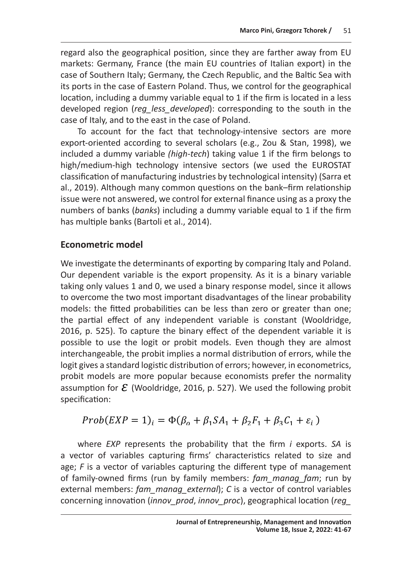The secondary controlation and the secondary controlation of the secondary controlation of the secondary of the secondary of the secondary of the secondary of the secondary of the secondary of the secondary of the secondar regard also are geograpmed position, since any are farmer only not to high terms of the first of the first of the main EU countries of Italian export) in the case of Southern Italy; Germany, the Czech Republic, and the Baltic Sea with<br>its ports in the sase of Eastern Peland. Thus, we sentrel for the geographical its ports in the case of Eastern Poland. Thus, we control for the geographical location, including a dummy variable equal to 1 if the firm is located in a less developed region (*reg\_less\_developed*): corresponding to the south in the case of banks (*banks*) and to the external finance using the south in the numbers of banks (*banks*) and to the external finance of banks (*b*anks case of Italy, and to the east in the case of Poland.<br>
<u>case of Italy, and to the east in the case of Poland</u>.

To account for the fact that technology-intensive sectors are more export-oriented according to several scholars (e.g., Zou & Stan, 1998), we export-oriented according to several scholars (e.g., Zou & Stan, 1998), we included a dummy variable *(high-tech)* taking value 1 if the firm belongs to included a dummy variable *(high-tech)* taking value 1 if the firm belongs to high/medium-high technology intensive sectors (we used the EUROSTAT many medium-ingh technology intensive sectors (we used the EONOSTAT<br>classification of manufacturing industries by technological intensity) (Sarra et classification of manufacturing industries by technological intensity) (Sarra et<br>al., 2019). Although many common questions on the bank–firm relationship issue were not answered, we control for external finance using as a proxy the issue were not answered, we control for external finance using as a proxy the hose were not answered, we control for external middle camp as a proxy the numbers of banks (*banks*) including a dummy variable equal to 1 if the firm handle of banks (Bartoli et al., 2014).<br>has multiple banks (Bartoli et al., 2014).

### **Econometric model** We investigate the determinants of exporting by comparing Italy and Poland. Our dependent conometric model<br>Les it is a binary value situation on la binary values 1 and 0, we use only values 1 and 0, we use only values

We investigate the determinants of exporting by comparing Italy and Poland.<br>Our dependent variable is the export propensity. As it is a binary variable Our dependent variable is the export propensity. As it is a binary variable taking only values 1 and 0, we used a binary response model, since it allows to overcome the two most important disadvantages of the linear probability<br>models: the fitted probabilities can be less than zero or greater than one: models: the fitted probabilities can be less than zero or greater than one; the partial effect of any independent variable is constant (Wooldridge, 2016, p. 525). To capture the binary effect of the dependent variable it is<br>possible to use the logit or probit models. Even though they are almost possible to use the logit or probit models. Even though they are almost interchangeable, the probit implies a normal distribution of errors, while the logit gives a standard logistic distribution of errors; however, in econometrics,<br>probit models are more nonular because economists prefer the normality probit models are more popular because economists prefer the normality assumption for  $\mathcal E$  (Wooldridge, 2016, p. 527). We used the following probit specification: the partial effect of any modelshadility variable is constant (wooldings),<br>2016 in E2E). To conture the binary offect of the dependent variable it is  $\frac{1}{2}$  specification:

$$
Prob(EXP = 1)i = \Phi(\beta_o + \beta_1 SA_1 + \beta_2 F_1 + \beta_3 C_1 + \varepsilon_i)
$$

a vector of variables capturing firms' characteristics related to size and age; *F* is a vector of variables capturing the different type of management<br>of family-owned firms (run by family members: *fam\_manag\_fam*; run by external members: fam\_manag\_external); C is a vector of control variables concerning innovation (innov\_prod, innov\_proc), geographical location (reg\_ where *EXP* represents the probability that the firm *i* exports. SA is age; F is a vector of variables capturing the different type of management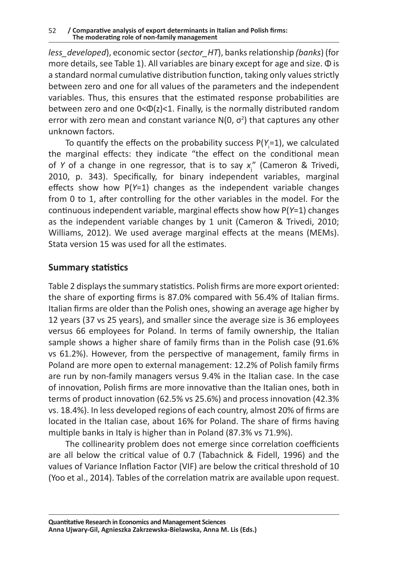*less\_developed*), economic sector (*sector\_HT*), banks relationship *(banks*) (for more details, see Table 1). All variables are binary except for age and size. Φ is a standard normal cumulative distribution function, taking only values strictly between zero and one for all values of the parameters and the independent variables. Thus, this ensures that the estimated response probabilities are between zero and one 0<Φ(z)<1. Finally, is the normally distributed random error with zero mean and constant variance  $N(0, \sigma^2)$  that captures any other unknown factors.

To quantify the effects on the probability success P(Y<sub>i</sub>=1), we calculated the marginal effects: they indicate "the effect on the conditional mean of *Y* of a change in one regressor, that is to say  $x_j''$  (Cameron & Trivedi, 2010, p. 343). Specifically, for binary independent variables, marginal effects show how P(*Y*=1) changes as the independent variable changes from 0 to 1, after controlling for the other variables in the model. For the continuous independent variable, marginal effects show how P(*Y*=1) changes as the independent variable changes by 1 unit (Cameron & Trivedi, 2010; Williams, 2012). We used average marginal effects at the means (MEMs). Stata version 15 was used for all the estimates.

# **Summary statistics**

Table 2 displays the summary statistics. Polish firms are more export oriented: the share of exporting firms is 87.0% compared with 56.4% of Italian firms. Italian firms are older than the Polish ones, showing an average age higher by 12 years (37 vs 25 years), and smaller since the average size is 36 employees versus 66 employees for Poland. In terms of family ownership, the Italian sample shows a higher share of family firms than in the Polish case (91.6% vs 61.2%). However, from the perspective of management, family firms in Poland are more open to external management: 12.2% of Polish family firms are run by non-family managers versus 9.4% in the Italian case. In the case of innovation, Polish firms are more innovative than the Italian ones, both in terms of product innovation (62.5% vs 25.6%) and process innovation (42.3% vs. 18.4%). In less developed regions of each country, almost 20% of firms are located in the Italian case, about 16% for Poland. The share of firms having multiple banks in Italy is higher than in Poland (87.3% vs 71.9%).

The collinearity problem does not emerge since correlation coefficients are all below the critical value of 0.7 (Tabachnick & Fidell, 1996) and the values of Variance Inflation Factor (VIF) are below the critical threshold of 10 (Yoo et al., 2014). Tables of the correlation matrix are available upon request.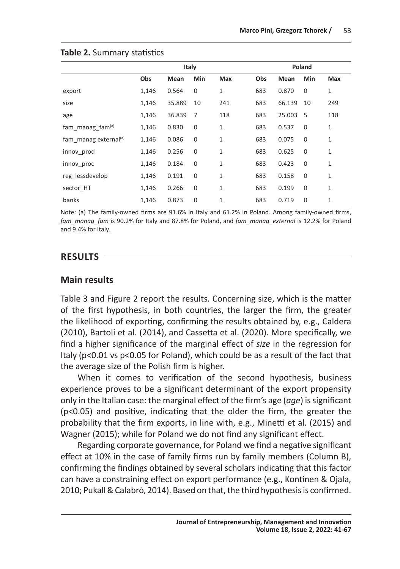|                                   | Italy |        |                |              | Poland |        |             |              |
|-----------------------------------|-------|--------|----------------|--------------|--------|--------|-------------|--------------|
|                                   | Obs   | Mean   | Min            | <b>Max</b>   | Obs    | Mean   | Min         | <b>Max</b>   |
| export                            | 1,146 | 0.564  | $\mathbf 0$    | 1            | 683    | 0.870  | 0           | $\mathbf{1}$ |
| size                              | 1,146 | 35.889 | 10             | 241          | 683    | 66.139 | 10          | 249          |
| age                               | 1,146 | 36.839 | $\overline{7}$ | 118          | 683    | 25.003 | 5           | 118          |
| fam manag fam $(a)$               | 1,146 | 0.830  | $\mathbf 0$    | 1            | 683    | 0.537  | $\mathbf 0$ | 1            |
| fam manag external <sup>(a)</sup> | 1,146 | 0.086  | $\mathbf 0$    | 1            | 683    | 0.075  | $\mathbf 0$ | 1            |
| innov prod                        | 1,146 | 0.256  | $\mathbf 0$    | 1            | 683    | 0.625  | $\mathbf 0$ | 1            |
| innov proc                        | 1,146 | 0.184  | $\mathbf 0$    | $\mathbf{1}$ | 683    | 0.423  | $\mathbf 0$ | 1            |
| reg lessdevelop                   | 1,146 | 0.191  | $\mathbf 0$    | 1            | 683    | 0.158  | $\mathbf 0$ | $\mathbf{1}$ |
| sector HT                         | 1,146 | 0.266  | $\mathbf 0$    | 1            | 683    | 0.199  | $\Omega$    | 1            |
| banks                             | 1,146 | 0.873  | $\mathbf{0}$   | $\mathbf{1}$ | 683    | 0.719  | $\mathbf 0$ | 1            |

#### **Table 2.** Summary statistics

Note: (a) The family-owned firms are 91.6% in Italy and 61.2% in Poland. Among family-owned firms, *fam\_manag\_fam* is 90.2% for Italy and 87.8% for Poland, and *fam\_manag\_external* is 12.2% for Poland and 9.4% for Italy.

#### **RESULTS**

#### **Main results**

Table 3 and Figure 2 report the results. Concerning size, which is the matter of the first hypothesis, in both countries, the larger the firm, the greater the likelihood of exporting, confirming the results obtained by, e.g., Caldera (2010), Bartoli et al. (2014), and Cassetta et al. (2020). More specifically, we find a higher significance of the marginal effect of *size* in the regression for Italy (p<0.01 vs p<0.05 for Poland), which could be as a result of the fact that the average size of the Polish firm is higher.

When it comes to verification of the second hypothesis, business experience proves to be a significant determinant of the export propensity only in the Italian case: the marginal effect of the firm's age (*age*) is significant (p<0.05) and positive, indicating that the older the firm, the greater the probability that the firm exports, in line with, e.g., Minetti et al. (2015) and Wagner (2015); while for Poland we do not find any significant effect.

Regarding corporate governance, for Poland we find a negative significant effect at 10% in the case of family firms run by family members (Column B), confirming the findings obtained by several scholars indicating that this factor can have a constraining effect on export performance (e.g., Kontinen & Ojala, 2010; Pukall & Calabrò, 2014). Based on that, the third hypothesis is confirmed.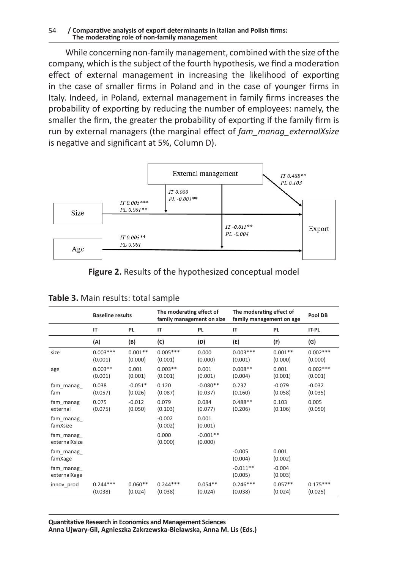While concerning non-family management, combined with the size of the company, which is the subject of the fourth hypothesis, we find a moderation effect of external management in increasing the likelihood of exporting in the case of smaller firms in Poland and in the case of younger firms in Italy. Indeed, in Poland, external management in family firms increases the probability of exporting by reducing the number of employees: namely, the smaller the firm, the greater the probability of exporting if the family firm is run by external managers (the marginal effect of *fam\_manag\_externalXsize* is negative and significant at 5%, Column D).



**Figure 2.** Results of the hypothesized conceptual model

|                             | <b>Baseline results</b> |                      | The moderating effect of<br>family management on size |                       | The moderating effect of<br>family management on age |                      | Pool DB               |
|-----------------------------|-------------------------|----------------------|-------------------------------------------------------|-----------------------|------------------------------------------------------|----------------------|-----------------------|
|                             | IT                      | <b>PL</b>            | IT                                                    | PL.                   | IT                                                   | <b>PL</b>            | IT-PL                 |
|                             | (A)                     | (B)                  | (C)                                                   | (D)                   | (E)                                                  | (F)                  | (G)                   |
| size                        | $0.003***$<br>(0.001)   | $0.001**$<br>(0.000) | $0.005***$<br>(0.001)                                 | 0.000<br>(0.000)      | $0.003***$<br>(0.001)                                | $0.001**$<br>(0.000) | $0.002***$<br>(0.000) |
| age                         | $0.003**$<br>(0.001)    | 0.001<br>(0.001)     | $0.003**$<br>(0.001)                                  | 0.001<br>(0.001)      | $0.008**$<br>(0.004)                                 | 0.001<br>(0.001)     | $0.002***$<br>(0.001) |
| fam manag<br>fam            | 0.038<br>(0.057)        | $-0.051*$<br>(0.026) | 0.120<br>(0.087)                                      | $-0.080**$<br>(0.037) | 0.237<br>(0.160)                                     | $-0.079$<br>(0.058)  | $-0.032$<br>(0.035)   |
| fam manag<br>external       | 0.075<br>(0.075)        | $-0.012$<br>(0.050)  | 0.079<br>(0.103)                                      | 0.084<br>(0.077)      | $0.488**$<br>(0.206)                                 | 0.103<br>(0.106)     | 0.005<br>(0.050)      |
| fam_manag_<br>famXsize      |                         |                      | $-0.002$<br>(0.002)                                   | 0.001<br>(0.001)      |                                                      |                      |                       |
| fam_manag_<br>externalXsize |                         |                      | 0.000<br>(0.000)                                      | $-0.001**$<br>(0.000) |                                                      |                      |                       |
| fam_manag_<br>famXage       |                         |                      |                                                       |                       | $-0.005$<br>(0.004)                                  | 0.001<br>(0.002)     |                       |
| fam_manag_<br>externalXage  |                         |                      |                                                       |                       | $-0.011**$<br>(0.005)                                | $-0.004$<br>(0.003)  |                       |
| innov prod                  | $0.244***$<br>(0.038)   | $0.060**$<br>(0.024) | $0.244***$<br>(0.038)                                 | $0.054**$<br>(0.024)  | $0.246***$<br>(0.038)                                | $0.057**$<br>(0.024) | $0.175***$<br>(0.025) |

| Table 3. Main results: total sample |  |
|-------------------------------------|--|
|-------------------------------------|--|

**Quantitative Research in Economics and Management Sciences Anna Ujwary-Gil, Agnieszka Zakrzewska-Bielawska, Anna M. Lis (Eds.)**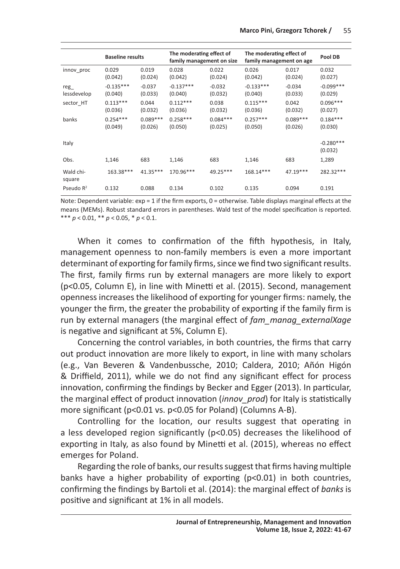|                     | <b>Baseline results</b> |                       | The moderating effect of<br>family management on size |                       | The moderating effect of<br>family management on age |                       | Pool DB                |
|---------------------|-------------------------|-----------------------|-------------------------------------------------------|-----------------------|------------------------------------------------------|-----------------------|------------------------|
| innov proc          | 0.029<br>(0.042)        | 0.019<br>(0.024)      | 0.028<br>(0.042)                                      | 0.022<br>(0.024)      | 0.026<br>(0.042)                                     | 0.017<br>(0.024)      | 0.032<br>(0.027)       |
| reg<br>lessdevelop  | $-0.135***$<br>(0.040)  | $-0.037$<br>(0.033)   | $-0.137***$<br>(0.040)                                | $-0.032$<br>(0.032)   | $-0.133***$<br>(0.040)                               | $-0.034$<br>(0.033)   | $-0.099***$<br>(0.029) |
| sector HT           | $0.113***$<br>(0.036)   | 0.044<br>(0.032)      | $0.112***$<br>(0.036)                                 | 0.038<br>(0.032)      | $0.115***$<br>(0.036)                                | 0.042<br>(0.032)      | $0.096***$<br>(0.027)  |
| banks               | $0.254***$<br>(0.049)   | $0.089***$<br>(0.026) | $0.258***$<br>(0.050)                                 | $0.084***$<br>(0.025) | $0.257***$<br>(0.050)                                | $0.089***$<br>(0.026) | $0.184***$<br>(0.030)  |
| Italy               |                         |                       |                                                       |                       |                                                      |                       | $-0.280***$<br>(0.032) |
| Obs.                | 1,146                   | 683                   | 1,146                                                 | 683                   | 1,146                                                | 683                   | 1,289                  |
| Wald chi-<br>square | 163.38***               | $41.35***$            | 170.96***                                             | 49.25***              | 168.14***                                            | $47.19***$            | 282.32 ***             |
| Pseudo $R^2$        | 0.132                   | 0.088                 | 0.134                                                 | 0.102                 | 0.135                                                | 0.094                 | 0.191                  |

Note: Dependent variable: exp = 1 if the firm exports, 0 = otherwise. Table displays marginal effects at the means (MEMs). Robust standard errors in parentheses. Wald test of the model specification is reported. \*\*\* *p* < 0.01, \*\* *p* < 0.05, \* *p* < 0.1.

When it comes to confirmation of the fifth hypothesis, in Italy, management openness to non-family members is even a more important determinant of exporting for family firms, since we find two significant results. The first, family firms run by external managers are more likely to export (p<0.05, Column E), in line with Minetti et al. (2015). Second, management openness increases the likelihood of exporting for younger firms: namely, the younger the firm, the greater the probability of exporting if the family firm is run by external managers (the marginal effect of *fam\_manag\_externalXage* is negative and significant at 5%, Column E).

Concerning the control variables, in both countries, the firms that carry out product innovation are more likely to export, in line with many scholars (e.g., Van Beveren & Vandenbussche, 2010; Caldera, 2010; Añón Higón & Driffield, 2011), while we do not find any significant effect for process innovation, confirming the findings by Becker and Egger (2013). In particular, the marginal effect of product innovation (*innov\_prod*) for Italy is statistically more significant (p<0.01 vs. p<0.05 for Poland) (Columns A-B).

Controlling for the location, our results suggest that operating in a less developed region significantly (p<0.05) decreases the likelihood of exporting in Italy, as also found by Minetti et al. (2015), whereas no effect emerges for Poland.

Regarding the role of banks, our results suggest that firms having multiple banks have a higher probability of exporting (p<0.01) in both countries, confirming the findings by Bartoli et al. (2014): the marginal effect of *banks* is positive and significant at 1% in all models.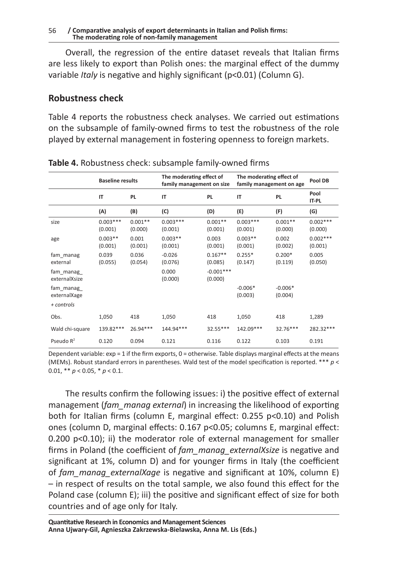Overall, the regression of the entire dataset reveals that Italian firms are less likely to export than Polish ones: the marginal effect of the dummy variable *Italy* is negative and highly significant (p<0.01) (Column G).

# **Robustness check**

Table 4 reports the robustness check analyses. We carried out estimations on the subsample of family-owned firms to test the robustness of the role played by external management in fostering openness to foreign markets.

|                            | <b>Baseline results</b> |                      | The moderating effect of<br>family management on size |                        | The moderating effect of<br>family management on age |                      | Pool DB               |
|----------------------------|-------------------------|----------------------|-------------------------------------------------------|------------------------|------------------------------------------------------|----------------------|-----------------------|
|                            | IT                      | PL                   | IT                                                    | PL.                    | IT                                                   | <b>PL</b>            | Pool<br><b>IT-PL</b>  |
|                            | (A)                     | (B)                  | (C)                                                   | (D)                    | (E)                                                  | (F)                  | (G)                   |
| size                       | $0.003***$<br>(0.001)   | $0.001**$<br>(0.000) | $0.003***$<br>(0.001)                                 | $0.001**$<br>(0.001)   | $0.003***$<br>(0.001)                                | $0.001**$<br>(0.000) | $0.002***$<br>(0.000) |
| age                        | $0.003**$<br>(0.001)    | 0.001<br>(0.001)     | $0.003**$<br>(0.001)                                  | 0.003<br>(0.001)       | $0.003**$<br>(0.001)                                 | 0.002<br>(0.002)     | $0.002***$<br>(0.001) |
| fam manag<br>external      | 0.039<br>(0.055)        | 0.036<br>(0.054)     | $-0.026$<br>(0.076)                                   | $0.167**$<br>(0.085)   | $0.255*$<br>(0.147)                                  | $0.200*$<br>(0.119)  | 0.005<br>(0.050)      |
| fam manag<br>externalXsize |                         |                      | 0.000<br>(0.000)                                      | $-0.001***$<br>(0.000) |                                                      |                      |                       |
| fam_manag_<br>externalXage |                         |                      |                                                       |                        | $-0.006*$<br>(0.003)                                 | $-0.006*$<br>(0.004) |                       |
| + controls                 |                         |                      |                                                       |                        |                                                      |                      |                       |
| Obs.                       | 1,050                   | 418                  | 1,050                                                 | 418                    | 1,050                                                | 418                  | 1,289                 |
| Wald chi-square            | 139.82***               | $26.94***$           | 144.94***                                             | 32.55***               | 142.09***                                            | $32.76***$           | 282.32***             |
| Pseudo $R^2$               | 0.120                   | 0.094                | 0.121                                                 | 0.116                  | 0.122                                                | 0.103                | 0.191                 |

**Table 4.** Robustness check: subsample family-owned firms

Dependent variable:  $exp = 1$  if the firm exports,  $0 =$  otherwise. Table displays marginal effects at the means (MEMs). Robust standard errors in parentheses. Wald test of the model specification is reported. \*\*\* *p* < 0.01, \*\* *p* < 0.05, \* *p* < 0.1.

The results confirm the following issues: i) the positive effect of external management (*fam\_manag external*) in increasing the likelihood of exporting both for Italian firms (column E, marginal effect: 0.255 p<0.10) and Polish ones (column D, marginal effects: 0.167 p<0.05; columns E, marginal effect: 0.200 p<0.10); ii) the moderator role of external management for smaller firms in Poland (the coefficient of *fam\_manag\_externalXsize* is negative and significant at 1%, column D) and for younger firms in Italy (the coefficient of *fam\_manag\_externalXage* is negative and significant at 10%, column E) – in respect of results on the total sample, we also found this effect for the Poland case (column E); iii) the positive and significant effect of size for both countries and of age only for Italy.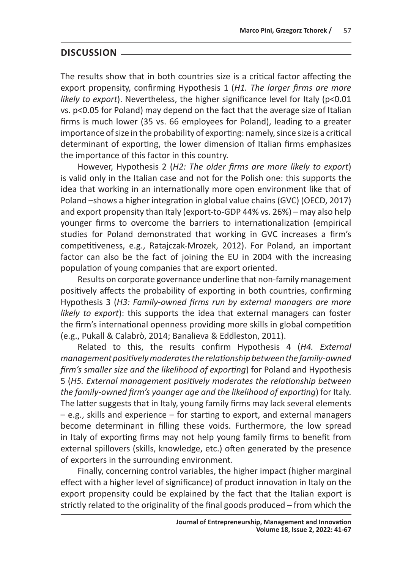### **DISCUSSION**

The results show that in both countries size is a critical factor affecting the export propensity, confirming Hypothesis 1 (*H1. The larger firms are more likely to export*). Nevertheless, the higher significance level for Italy (p<0.01 vs. p<0.05 for Poland) may depend on the fact that the average size of Italian firms is much lower (35 vs. 66 employees for Poland), leading to a greater importance of size in the probability of exporting: namely, since size is a critical determinant of exporting, the lower dimension of Italian firms emphasizes the importance of this factor in this country.

However, Hypothesis 2 (*H2: The older firms are more likely to export*) is valid only in the Italian case and not for the Polish one: this supports the idea that working in an internationally more open environment like that of Poland –shows a higher integration in global value chains (GVC) (OECD, 2017) and export propensity than Italy (export-to-GDP 44% vs. 26%) – may also help younger firms to overcome the barriers to internationalization (empirical studies for Poland demonstrated that working in GVC increases a firm's competitiveness, e.g., Ratajczak-Mrozek, 2012). For Poland, an important factor can also be the fact of joining the EU in 2004 with the increasing population of young companies that are export oriented.

Results on corporate governance underline that non-family management positively affects the probability of exporting in both countries, confirming Hypothesis 3 (*H3: Family-owned firms run by external managers are more likely to export*): this supports the idea that external managers can foster the firm's international openness providing more skills in global competition (e.g., Pukall & Calabrò, 2014; Banalieva & Eddleston, 2011).

Related to this, the results confirm Hypothesis 4 (*H4. External management positively moderates the relationship between the family-owned firm's smaller size and the likelihood of exporting*) for Poland and Hypothesis 5 (*H5. External management positively moderates the relationship between the family-owned firm's younger age and the likelihood of exporting*) for Italy. The latter suggests that in Italy, young family firms may lack several elements – e.g., skills and experience – for starting to export, and external managers become determinant in filling these voids. Furthermore, the low spread in Italy of exporting firms may not help young family firms to benefit from external spillovers (skills, knowledge, etc.) often generated by the presence of exporters in the surrounding environment.

Finally, concerning control variables, the higher impact (higher marginal effect with a higher level of significance) of product innovation in Italy on the export propensity could be explained by the fact that the Italian export is strictly related to the originality of the final goods produced – from which the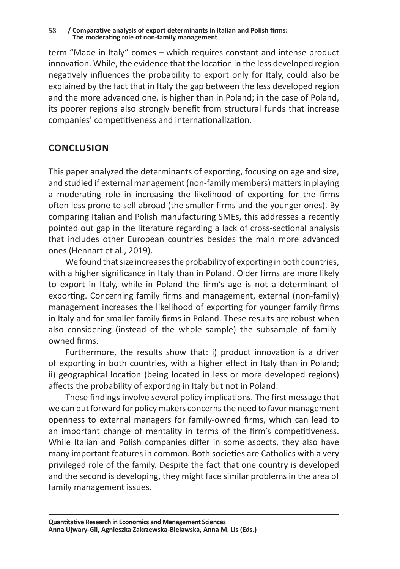term "Made in Italy" comes – which requires constant and intense product innovation. While, the evidence that the location in the less developed region negatively influences the probability to export only for Italy, could also be explained by the fact that in Italy the gap between the less developed region and the more advanced one, is higher than in Poland; in the case of Poland, its poorer regions also strongly benefit from structural funds that increase companies' competitiveness and internationalization.

# **CONCLUSION**

This paper analyzed the determinants of exporting, focusing on age and size, and studied if external management (non-family members) matters in playing a moderating role in increasing the likelihood of exporting for the firms often less prone to sell abroad (the smaller firms and the younger ones). By comparing Italian and Polish manufacturing SMEs, this addresses a recently pointed out gap in the literature regarding a lack of cross-sectional analysis that includes other European countries besides the main more advanced ones (Hennart et al., 2019).

We found that size increases the probability of exporting in both countries, with a higher significance in Italy than in Poland. Older firms are more likely to export in Italy, while in Poland the firm's age is not a determinant of exporting. Concerning family firms and management, external (non-family) management increases the likelihood of exporting for younger family firms in Italy and for smaller family firms in Poland. These results are robust when also considering (instead of the whole sample) the subsample of familyowned firms.

Furthermore, the results show that: i) product innovation is a driver of exporting in both countries, with a higher effect in Italy than in Poland; ii) geographical location (being located in less or more developed regions) affects the probability of exporting in Italy but not in Poland.

These findings involve several policy implications. The first message that we can put forward for policy makers concerns the need to favor management openness to external managers for family-owned firms, which can lead to an important change of mentality in terms of the firm's competitiveness. While Italian and Polish companies differ in some aspects, they also have many important features in common. Both societies are Catholics with a very privileged role of the family. Despite the fact that one country is developed and the second is developing, they might face similar problems in the area of family management issues.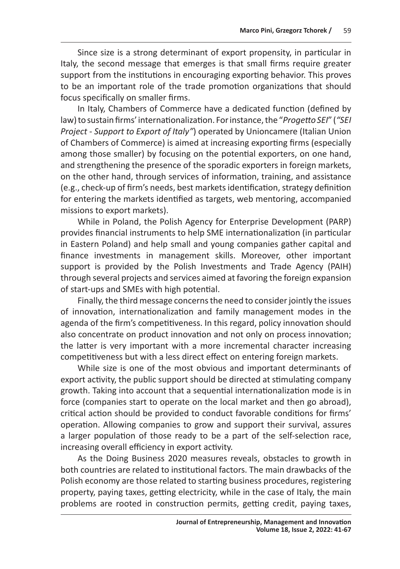Since size is a strong determinant of export propensity, in particular in Italy, the second message that emerges is that small firms require greater support from the institutions in encouraging exporting behavior. This proves to be an important role of the trade promotion organizations that should focus specifically on smaller firms.

In Italy, Chambers of Commerce have a dedicated function (defined by law) to sustain firms' internationalization. For instance, the "*Progetto SEI*" (*"SEI Project* - *Support to Export of Italy"*) operated by Unioncamere (Italian Union of Chambers of Commerce) is aimed at increasing exporting firms (especially among those smaller) by focusing on the potential exporters, on one hand, and strengthening the presence of the sporadic exporters in foreign markets, on the other hand, through services of information, training, and assistance (e.g., check-up of firm's needs, best markets identification, strategy definition for entering the markets identified as targets, web mentoring, accompanied missions to export markets).

While in Poland, the Polish Agency for Enterprise Development (PARP) provides financial instruments to help SME internationalization (in particular in Eastern Poland) and help small and young companies gather capital and finance investments in management skills. Moreover, other important support is provided by the Polish Investments and Trade Agency (PAIH) through several projects and services aimed at favoring the foreign expansion of start-ups and SMEs with high potential.

Finally, the third message concerns the need to consider jointly the issues of innovation, internationalization and family management modes in the agenda of the firm's competitiveness. In this regard, policy innovation should also concentrate on product innovation and not only on process innovation; the latter is very important with a more incremental character increasing competitiveness but with a less direct effect on entering foreign markets.

While size is one of the most obvious and important determinants of export activity, the public support should be directed at stimulating company growth. Taking into account that a sequential internationalization mode is in force (companies start to operate on the local market and then go abroad), critical action should be provided to conduct favorable conditions for firms' operation. Allowing companies to grow and support their survival, assures a larger population of those ready to be a part of the self-selection race, increasing overall efficiency in export activity.

As the Doing Business 2020 measures reveals, obstacles to growth in both countries are related to institutional factors. The main drawbacks of the Polish economy are those related to starting business procedures, registering property, paying taxes, getting electricity, while in the case of Italy, the main problems are rooted in construction permits, getting credit, paying taxes,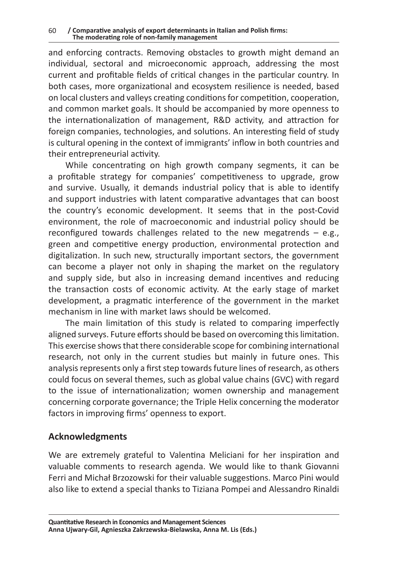and enforcing contracts. Removing obstacles to growth might demand an individual, sectoral and microeconomic approach, addressing the most current and profitable fields of critical changes in the particular country. In both cases, more organizational and ecosystem resilience is needed, based on local clusters and valleys creating conditions for competition, cooperation, and common market goals. It should be accompanied by more openness to the internationalization of management, R&D activity, and attraction for foreign companies, technologies, and solutions. An interesting field of study is cultural opening in the context of immigrants' inflow in both countries and their entrepreneurial activity.

While concentrating on high growth company segments, it can be a profitable strategy for companies' competitiveness to upgrade, grow and survive. Usually, it demands industrial policy that is able to identify and support industries with latent comparative advantages that can boost the country's economic development. It seems that in the post-Covid environment, the role of macroeconomic and industrial policy should be reconfigured towards challenges related to the new megatrends – e.g., green and competitive energy production, environmental protection and digitalization. In such new, structurally important sectors, the government can become a player not only in shaping the market on the regulatory and supply side, but also in increasing demand incentives and reducing the transaction costs of economic activity. At the early stage of market development, a pragmatic interference of the government in the market mechanism in line with market laws should be welcomed.

The main limitation of this study is related to comparing imperfectly aligned surveys. Future efforts should be based on overcoming this limitation. This exercise shows that there considerable scope for combining international research, not only in the current studies but mainly in future ones. This analysis represents only a first step towards future lines of research, as others could focus on several themes, such as global value chains (GVC) with regard to the issue of internationalization; women ownership and management concerning corporate governance; the Triple Helix concerning the moderator factors in improving firms' openness to export.

# **Acknowledgments**

We are extremely grateful to Valentina Meliciani for her inspiration and valuable comments to research agenda. We would like to thank Giovanni Ferri and Michał Brzozowski for their valuable suggestions. Marco Pini would also like to extend a special thanks to Tiziana Pompei and Alessandro Rinaldi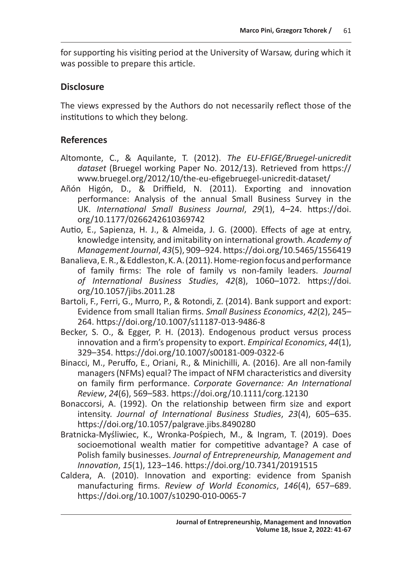for supporting his visiting period at the University of Warsaw, during which it was possible to prepare this article.

### **Disclosure**

The views expressed by the Authors do not necessarily reflect those of the institutions to which they belong.

# **References**

- Altomonte, C., & Aquilante, T. (2012). *The EU-EFIGE/Bruegel-unicredit dataset* (Bruegel working Paper No. 2012/13). Retrieved from https:// www.bruegel.org/2012/10/the-eu-efigebruegel-unicredit-dataset/
- Añón Higón, D., & Driffield, N. (2011). Exporting and innovation performance: Analysis of the annual Small Business Survey in the UK. *International Small Business Journal*, *29*(1), 4–24. https://doi. org/10.1177/0266242610369742
- Autio, E., Sapienza, H. J., & Almeida, J. G. (2000). Effects of age at entry, knowledge intensity, and imitability on international growth. *Academy of Management Journal*, *43*(5), 909–924. https://doi.org/10.5465/1556419
- Banalieva, E. R., & Eddleston, K. A. (2011). Home-region focus and performance of family firms: The role of family vs non-family leaders. *Journal of International Business Studies*, *42*(8), 1060–1072. https://doi. org/10.1057/jibs.2011.28
- Bartoli, F., Ferri, G., Murro, P., & Rotondi, Z. (2014). Bank support and export: Evidence from small Italian firms. *Small Business Economics*, *42*(2), 245– 264. https://doi.org/10.1007/s11187-013-9486-8
- Becker, S. O., & Egger, P. H. (2013). Endogenous product versus process innovation and a firm's propensity to export. *Empirical Economics*, *44*(1), 329–354. https://doi.org/10.1007/s00181-009-0322-6
- Binacci, M., Peruffo, E., Oriani, R., & Minichilli, A. (2016). Are all non-family managers (NFMs) equal? The impact of NFM characteristics and diversity on family firm performance. *Corporate Governance: An International Review*, *24*(6), 569–583. https://doi.org/10.1111/corg.12130
- Bonaccorsi, A. (1992). On the relationship between firm size and export intensity. *Journal of International Business Studies*, *23*(4), 605–635. https://doi.org/10.1057/palgrave.jibs.8490280
- Bratnicka-Myśliwiec, K., Wronka-Pośpiech, M., & Ingram, T. (2019). Does socioemotional wealth matier for competitive advantage? A case of Polish family businesses. *Journal of Entrepreneurship, Management and Innovation*, *15*(1), 123–146. https://doi.org/10.7341/20191515
- Caldera, A. (2010). Innovation and exporting: evidence from Spanish manufacturing firms. *Review of World Economics*, *146*(4), 657–689. https://doi.org/10.1007/s10290-010-0065-7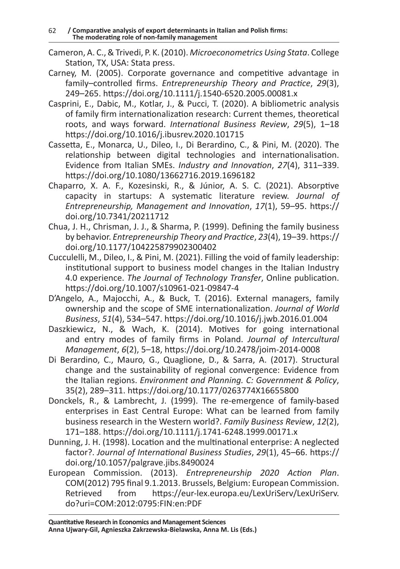- Cameron, A. C., & Trivedi, P. K. (2010). *Microeconometrics Using Stata*. College Station, TX, USA: Stata press.
- Carney, M. (2005). Corporate governance and competitive advantage in family–controlled firms. *Entrepreneurship Theory and Practice*, *29*(3), 249–265. https://doi.org/10.1111/j.1540-6520.2005.00081.x
- Casprini, E., Dabic, M., Kotlar, J., & Pucci, T. (2020). A bibliometric analysis of family firm internationalization research: Current themes, theoretical roots, and ways forward. *International Business Review*, *29*(5), 1–18 https://doi.org/10.1016/j.ibusrev.2020.101715
- Cassetta, E., Monarca, U., Dileo, I., Di Berardino, C., & Pini, M. (2020). The relationship between digital technologies and internationalisation. Evidence from Italian SMEs. *Industry and Innovation*, *27*(4), 311–339. https://doi.org/10.1080/13662716.2019.1696182
- Chaparro, X. A. F., Kozesinski, R., & Júnior, A. S. C. (2021). Absorptive capacity in startups: A systematic literature review. *Journal of Entrepreneurship, Management and Innovation*, *17*(1), 59–95. https:// doi.org/10.7341/20211712
- Chua, J. H., Chrisman, J. J., & Sharma, P. (1999). Defining the family business by behavior. *Entrepreneurship Theory and Practice*, *23*(4), 19–39. https:// doi.org/10.1177/104225879902300402
- Cucculelli, M., Dileo, I., & Pini, M. (2021). Filling the void of family leadership: institutional support to business model changes in the Italian Industry 4.0 experience. *The Journal of Technology Transfer*, Online publication. https://doi.org/10.1007/s10961-021-09847-4
- D'Angelo, A., Majocchi, A., & Buck, T. (2016). External managers, family ownership and the scope of SME internationalization. *Journal of World Business*, *51*(4), 534–547. https://doi.org/10.1016/j.jwb.2016.01.004
- Daszkiewicz, N., & Wach, K. (2014). Motives for going international and entry modes of family firms in Poland. *Journal of Intercultural Management*, *6*(2), 5–18, https://doi.org/10.2478/joim-2014-0008
- Di Berardino, C., Mauro, G., Quaglione, D., & Sarra, A. (2017). Structural change and the sustainability of regional convergence: Evidence from the Italian regions. *Environment and Planning. C: Government & Policy*, 35(2), 289–311. https://doi.org/10.1177/0263774X16655800
- Donckels, R., & Lambrecht, J. (1999). The re-emergence of family-based enterprises in East Central Europe: What can be learned from family business research in the Western world?. *Family Business Review*, *12*(2), 171–188. https://doi.org/10.1111/j.1741-6248.1999.00171.x
- Dunning, J. H. (1998). Location and the multinational enterprise: A neglected factor?. *Journal of International Business Studies*, *29*(1), 45–66. https:// doi.org/10.1057/palgrave.jibs.8490024
- European Commission. (2013). *Entrepreneurship 2020 Action Plan*. COM(2012) 795 final 9.1.2013. Brussels, Belgium: European Commission. Retrieved from https://eur-lex.europa.eu/LexUriServ/LexUriServ. do?uri=COM:2012:0795:FIN:en:PDF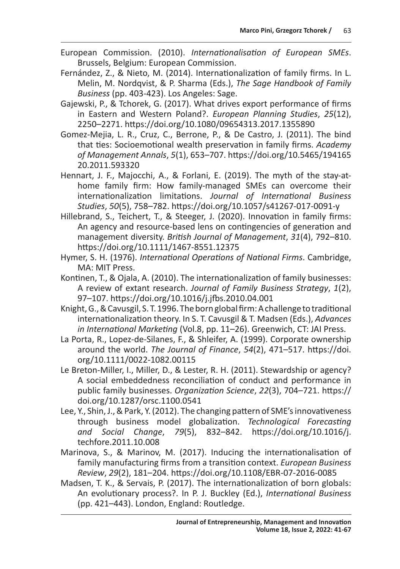- European Commission. (2010). *Internationalisation of European SMEs*. Brussels, Belgium: European Commission.
- Fernández, Z., & Nieto, M. (2014). Internationalization of family firms. In L. Melin, M. Nordqvist, & P. Sharma (Eds.), *The Sage Handbook of Family Business* (pp. 403-423). Los Angeles: Sage.
- Gajewski, P., & Tchorek, G. (2017). What drives export performance of firms in Eastern and Western Poland?. *European Planning Studies*, *25*(12), 2250–2271. https://doi.org/10.1080/09654313.2017.1355890
- Gomez-Mejia, L. R., Cruz, C., Berrone, P., & De Castro, J. (2011). The bind that ties: Socioemotional wealth preservation in family firms. *Academy of Management Annals*, *5*(1), 653–707. https://doi.org/10.5465/194165 20.2011.593320
- Hennart, J. F., Majocchi, A., & Forlani, E. (2019). The myth of the stay-athome family firm: How family-managed SMEs can overcome their internationalization limitations. *Journal of International Business Studies*, *50*(5), 758–782. https://doi.org/10.1057/s41267-017-0091-y
- Hillebrand, S., Teichert, T., & Steeger, J. (2020). Innovation in family firms: An agency and resource‐based lens on contingencies of generation and management diversity. *British Journal of Management*, *31*(4), 792–810. https://doi.org/10.1111/1467-8551.12375
- Hymer, S. H. (1976). *International Operations of National Firms*. Cambridge, MA: MIT Press.
- Kontinen, T., & Ojala, A. (2010). The internationalization of family businesses: A review of extant research. *Journal of Family Business Strategy*, *1*(2), 97–107. https://doi.org/10.1016/j.jfbs.2010.04.001
- Knight, G., & Cavusgil, S. T. 1996. The born global firm: Achallenge to traditional internationalization theory. In S. T. Cavusgil & T. Madsen (Eds.), *Advances in International Marketing* (Vol.8, pp. 11–26). Greenwich, CT: JAI Press.
- La Porta, R., Lopez-de-Silanes, F., & Shleifer, A. (1999). Corporate ownership around the world. *The Journal of Finance*, *54*(2), 471–517. https://doi. org/10.1111/0022-1082.00115
- Le Breton-Miller, I., Miller, D., & Lester, R. H. (2011). Stewardship or agency? A social embeddedness reconciliation of conduct and performance in public family businesses. *Organization Science*, *22*(3), 704–721. https:// doi.org/10.1287/orsc.1100.0541
- Lee, Y., Shin, J., & Park, Y. (2012). The changing pattern of SME's innovativeness through business model globalization. *Technological Forecasting and Social Change*, *79*(5), 832–842. https://doi.org/10.1016/j. techfore.2011.10.008
- Marinova, S., & Marinov, M. (2017). Inducing the internationalisation of family manufacturing firms from a transition context. *European Business Review*, *29*(2), 181–204. https://doi.org/10.1108/EBR-07-2016-0085
- Madsen, T. K., & Servais, P. (2017). The internationalization of born globals: An evolutionary process?. In P. J. Buckley (Ed.), *International Business* (pp. 421–443). London, England: Routledge.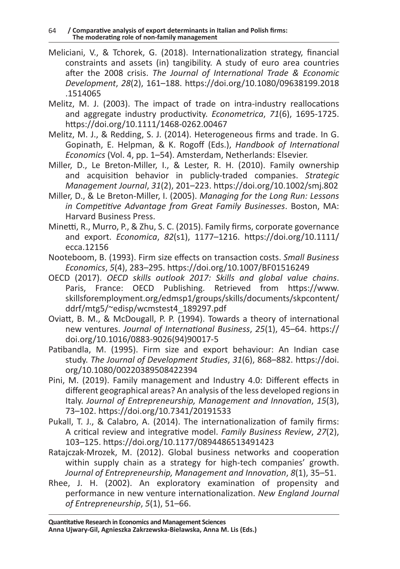- Meliciani, V., & Tchorek, G. (2018). Internationalization strategy, financial constraints and assets (in) tangibility. A study of euro area countries after the 2008 crisis. *The Journal of International Trade & Economic Development*, *28*(2), 161–188. https://doi.org/10.1080/09638199.2018 .1514065
- Melitz, M. J. (2003). The impact of trade on intra-industry reallocations and aggregate industry productivity. *Econometrica*, *71*(6), 1695-1725. https://doi.org/10.1111/1468-0262.00467
- Melitz, M. J., & Redding, S. J. (2014). Heterogeneous firms and trade. In G. Gopinath, E. Helpman, & K. Rogoff (Eds.), *Handbook of International Economics* (Vol. 4, pp. 1–54). Amsterdam, Netherlands: Elsevier.
- Miller, D., Le Breton-Miller, I., & Lester, R. H. (2010). Family ownership and acquisition behavior in publicly-traded companies. *Strategic Management Journal*, *31*(2), 201–223. https://doi.org/10.1002/smj.802
- Miller, D., & Le Breton-Miller, I. (2005). *Managing for the Long Run: Lessons in Competitive Advantage from Great Family Businesses*. Boston, MA: Harvard Business Press.
- Minetti, R., Murro, P., & Zhu, S. C. (2015). Family firms, corporate governance and export. *Economica*, *82*(s1), 1177–1216. https://doi.org/10.1111/ ecca.12156
- Nooteboom, B. (1993). Firm size effects on transaction costs. *Small Business Economics*, *5*(4), 283–295. https://doi.org/10.1007/BF01516249
- OECD (2017). *OECD skills outlook 2017: Skills and global value chains*. Paris, France: OECD Publishing. Retrieved from https://www. skillsforemployment.org/edmsp1/groups/skills/documents/skpcontent/ ddrf/mtg5/~edisp/wcmstest4\_189297.pdf
- Oviatt, B. M., & McDougall, P. P. (1994). Towards a theory of international new ventures. *Journal of International Business*, *25*(1), 45–64. https:// doi.org/10.1016/0883-9026(94)90017-5
- Patibandla, M. (1995). Firm size and export behaviour: An Indian case study. *The Journal of Development Studies*, *31*(6), 868–882. https://doi. org/10.1080/00220389508422394
- Pini, M. (2019). Family management and Industry 4.0: Different effects in different geographical areas? An analysis of the less developed regions in Italy. *Journal of Entrepreneurship, Management and Innovation*, *15*(3), 73–102. https://doi.org/10.7341/20191533
- Pukall, T. J., & Calabro, A. (2014). The internationalization of family firms: A critical review and integrative model. *Family Business Review*, *27*(2), 103–125. https://doi.org/10.1177/0894486513491423
- Ratajczak-Mrozek, M. (2012). Global business networks and cooperation within supply chain as a strategy for high-tech companies' growth. *Journal of Entrepreneurship, Management and Innovation*, *8*(1), 35–51.
- Rhee, J. H. (2002). An exploratory examination of propensity and performance in new venture internationalization. *New England Journal of Entrepreneurship*, *5*(1), 51–66.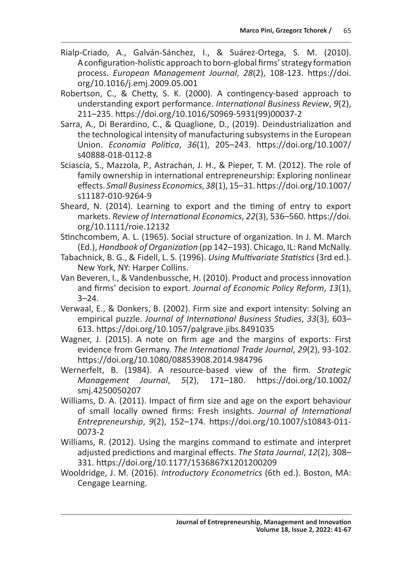- Rialp-Criado, A., Galván-Sánchez, I., & Suárez-Ortega, S. M. (2010). Aconfiguration-holistic approach to born-global firms' strategy formation process. *European Management Journal*, *28*(2), 108-123. https://doi. org/10.1016/j.emj.2009.05.001
- Robertson, C., & Chetty, S. K. (2000). A contingency-based approach to understanding export performance. *International Business Review*, *9*(2), 211–235. https://doi.org/10.1016/S0969-5931(99)00037-2
- Sarra, A., Di Berardino, C., & Quaglione, D., (2019). Deindustrialization and the technological intensity of manufacturing subsystems in the European Union. *Economia Politica*, *36*(1), 205–243. https://doi.org/10.1007/ s40888-018-0112-8
- Sciascia, S., Mazzola, P., Astrachan, J. H., & Pieper, T. M. (2012). The role of family ownership in international entrepreneurship: Exploring nonlinear effects. *Small Business Economics*, *38*(1), 15–31. https://doi.org/10.1007/ s11187-010-9264-9
- Sheard, N. (2014). Learning to export and the timing of entry to export markets. *Review of International Economics*, *22*(3), 536–560. https://doi. org/10.1111/roie.12132
- Stinchcombem, A. L. (1965). Social structure of organization. In J. M. March (Ed.), *Handbook of Organization* (pp 142–193). Chicago, IL: Rand McNally.
- Tabachnick, B. G., & Fidell, L. S. (1996). *Using Multivariate Statistics* (3rd ed.). New York, NY: Harper Collins.
- Van Beveren, I., & Vandenbussche, H. (2010). Product and process innovation and firms' decision to export. *Journal of Economic Policy Reform*, *13*(1),  $3 - 24$ .
- Verwaal, E., & Donkers, B. (2002). Firm size and export intensity: Solving an empirical puzzle. *Journal of International Business Studies*, *33*(3), 603– 613. https://doi.org/10.1057/palgrave.jibs.8491035
- Wagner, J. (2015). A note on firm age and the margins of exports: First evidence from Germany. *The International Trade Journal*, *29*(2), 93-102. https://doi.org/10.1080/08853908.2014.984796
- Wernerfelt, B. (1984). A resource-based view of the firm. *Strategic Management Journal*, *5*(2), 171–180. https://doi.org/10.1002/ smj.4250050207
- Williams, D. A. (2011). Impact of firm size and age on the export behaviour of small locally owned firms: Fresh insights. *Journal of International Entrepreneurship*, *9*(2), 152–174. https://doi.org/10.1007/s10843-011- 0073-2
- Williams, R. (2012). Using the margins command to estimate and interpret adjusted predictions and marginal effects. *The Stata Journal*, *12*(2), 308– 331. https://doi.org/10.1177/1536867X1201200209
- Wooldridge, J. M. (2016). *Introductory Econometrics* (6th ed.). Boston, MA: Cengage Learning.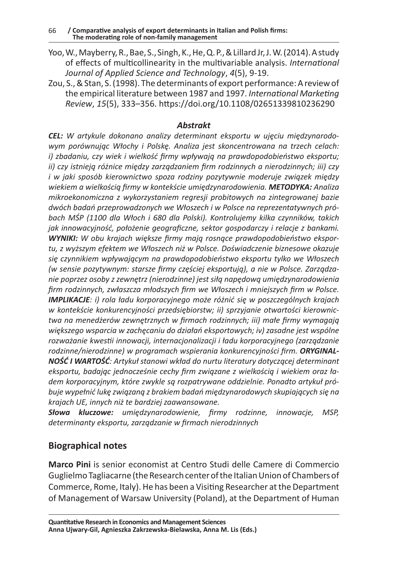- Yoo, W., Mayberry, R., Bae, S., Singh, K., He, Q. P., & Lillard Jr, J. W. (2014). Astudy of effects of multicollinearity in the multivariable analysis. *International Journal of Applied Science and Technology*, *4*(5), 9-19.
- Zou, S., & Stan, S. (1998). The determinants of export performance: Areview of the empirical literature between 1987 and 1997. *International Marketing Review*, *15*(5), 333–356. https://doi.org/10.1108/02651339810236290

### *Abstrakt*

*CEL: W artykule dokonano analizy determinant eksportu w ujęciu międzynarodowym porównując Włochy i Polskę. Analiza jest skoncentrowana na trzech celach: i) zbadaniu, czy wiek i wielkość firmy wpływają na prawdopodobieństwo eksportu; ii) czy istnieją różnice między zarządzaniem firm rodzinnych a nierodzinnych; iii) czy i w jaki sposób kierownictwo spoza rodziny pozytywnie moderuje związek między wiekiem a wielkością firmy w kontekście umiędzynarodowienia. METODYKA: Analiza mikroekonomiczna z wykorzystaniem regresji probitowych na zintegrowanej bazie dwóch badań przeprowadzonych we Włoszech i w Polsce na reprezentatywnych próbach MŚP (1100 dla Włoch i 680 dla Polski). Kontrolujemy kilka czynników, takich jak innowacyjność, położenie geograficzne, sektor gospodarczy i relacje z bankami. WYNIKI: W obu krajach większe firmy mają rosnące prawdopodobieństwo eksportu, z wyższym efektem we Włoszech niż w Polsce. Doświadczenie biznesowe okazuje się czynnikiem wpływającym na prawdopodobieństwo eksportu tylko we Włoszech (w sensie pozytywnym: starsze firmy częściej eksportują), a nie w Polsce. Zarządzanie poprzez osoby z zewnętrz (nierodzinne) jest siłą napędową umiędzynarodowienia firm rodzinnych, zwłaszcza młodszych firm we Włoszech i mniejszych firm w Polsce. IMPLIKACJE: i) rola ładu korporacyjnego może różnić się w poszczególnych krajach w kontekście konkurencyjności przedsiębiorstw; ii) sprzyjanie otwartości kierownictwa na menedżerów zewnętrznych w firmach rodzinnych; iii) małe firmy wymagają większego wsparcia w zachęcaniu do działań eksportowych; iv) zasadne jest wspólne rozważanie kwestii innowacji, internacjonalizacji i ładu korporacyjnego (zarządzanie rodzinne/nierodzinne) w programach wspierania konkurencyjności firm. ORYGINAL-NOŚĆ I WARTOŚĆ: Artykuł stanowi wkład do nurtu literatury dotyczącej determinant eksportu, badając jednocześnie cechy firm związane z wielkością i wiekiem oraz ładem korporacyjnym, które zwykle są rozpatrywane oddzielnie. Ponadto artykuł próbuje wypełnić lukę związaną z brakiem badań międzynarodowych skupiających się na krajach UE, innych niż te bardziej zaawansowane.*

*Słowa kluczowe: umiędzynarodowienie, firmy rodzinne, innowacje, MSP, determinanty eksportu, zarządzanie w firmach nierodzinnych*

# **Biographical notes**

**Marco Pini** is senior economist at Centro Studi delle Camere di Commercio Guglielmo Tagliacarne (the Research center of the Italian Union of Chambers of Commerce, Rome, Italy). He has been a Visiting Researcher at the Department of Management of Warsaw University (Poland), at the Department of Human